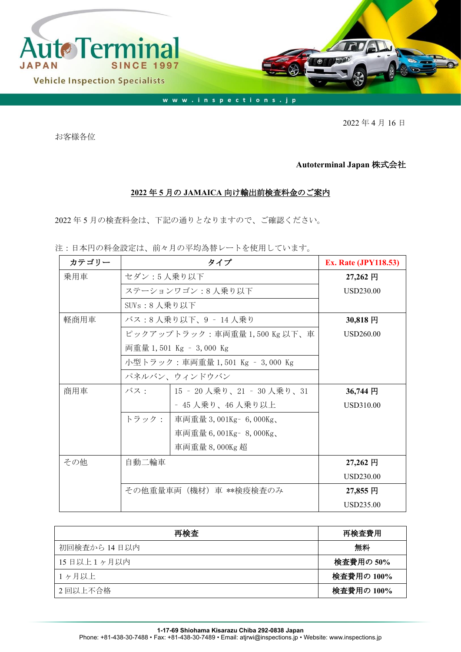

2022 年 4 月 16 日

お客様各位

## **Autoterminal Japan** 株式会社

## **2022** 年 **5** 月の **JAMAICA** 向け輸出前検査料金のご案内

2022 年 5 月の検査料金は、下記の通りとなりますので、ご確認ください。

注:日本円の料金設定は、前々月の平均為替レートを使用しています。

| カテゴリー |                            | <b>Ex. Rate (JPY118.53)</b>     |                  |
|-------|----------------------------|---------------------------------|------------------|
| 乗用車   | セダン:5人乗り以下                 |                                 | 27,262 円         |
|       | ステーションワゴン:8人乗り以下           | USD230.00                       |                  |
|       | SUVs:8人乗り以下                |                                 |                  |
| 軽商用車  | バス:8 人乗り以下、9 ‐ 14 人乗り      | $30,818$ 円                      |                  |
|       | ピックアップトラック:車両重量1,500Kg以下、車 | <b>USD260.00</b>                |                  |
|       |                            | 両重量 1,501 Kg – 3,000 Kg         |                  |
|       |                            | 小型トラック:車両重量 1,501 Kg – 3,000 Kg |                  |
|       |                            | パネルバン、ウィンドウバン                   |                  |
| 商用車   | バス・                        | 15 ‐ 20 人乗り、21 ‐ 30 人乗り、31      | 36,744 円         |
|       |                            | - 45 人乗り、46 人乗り以上               | <b>USD310.00</b> |
|       | トラック:                      | 車両重量 3,001Kg - 6,000Kg、         |                  |
|       |                            | 車両重量 6,001Kg - 8,000Kg、         |                  |
|       |                            | 車両重量 8,000Kg 超                  |                  |
| その他   | 自動二輪車                      |                                 | $27,262$ 円       |
|       |                            |                                 | <b>USD230.00</b> |
|       | その他重量車両(機材)車 **検疫検査のみ      | 27,855 円                        |                  |
|       |                            |                                 | USD235.00        |

| 再検査          | 再検査費用      |
|--------------|------------|
| 初回検査から 14日以内 | 無料         |
| 15日以上1ヶ月以内   | 検査費用の 50%  |
| 1ヶ月以上        | 検査費用の 100% |
| 2回以上不合格      | 検査費用の 100% |